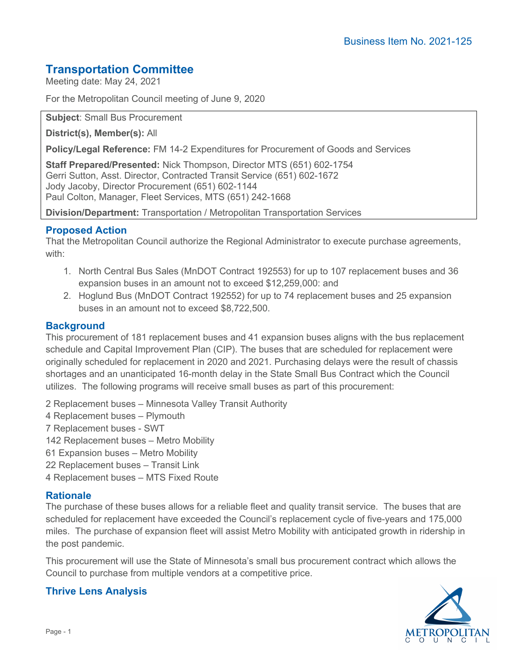# **Transportation Committee**

Meeting date: May 24, 2021

For the Metropolitan Council meeting of June 9, 2020

**Subject**: Small Bus Procurement

**District(s), Member(s):** All

**Policy/Legal Reference:** FM 14-2 Expenditures for Procurement of Goods and Services

**Staff Prepared/Presented:** Nick Thompson, Director MTS (651) 602-1754 Gerri Sutton, Asst. Director, Contracted Transit Service (651) 602-1672 Jody Jacoby, Director Procurement (651) 602-1144 Paul Colton, Manager, Fleet Services, MTS (651) 242-1668

**Division/Department:** Transportation / Metropolitan Transportation Services

## **Proposed Action**

That the Metropolitan Council authorize the Regional Administrator to execute purchase agreements, with:

- 1. North Central Bus Sales (MnDOT Contract 192553) for up to 107 replacement buses and 36 expansion buses in an amount not to exceed \$12,259,000: and
- 2. Hoglund Bus (MnDOT Contract 192552) for up to 74 replacement buses and 25 expansion buses in an amount not to exceed \$8,722,500.

## **Background**

This procurement of 181 replacement buses and 41 expansion buses aligns with the bus replacement schedule and Capital Improvement Plan (CIP). The buses that are scheduled for replacement were originally scheduled for replacement in 2020 and 2021. Purchasing delays were the result of chassis shortages and an unanticipated 16-month delay in the State Small Bus Contract which the Council utilizes. The following programs will receive small buses as part of this procurement:

- 2 Replacement buses Minnesota Valley Transit Authority
- 4 Replacement buses Plymouth
- 7 Replacement buses SWT
- 142 Replacement buses Metro Mobility
- 61 Expansion buses Metro Mobility
- 22 Replacement buses Transit Link
- 4 Replacement buses MTS Fixed Route

#### **Rationale**

The purchase of these buses allows for a reliable fleet and quality transit service. The buses that are scheduled for replacement have exceeded the Council's replacement cycle of five-years and 175,000 miles. The purchase of expansion fleet will assist Metro Mobility with anticipated growth in ridership in the post pandemic.

This procurement will use the State of Minnesota's small bus procurement contract which allows the Council to purchase from multiple vendors at a competitive price.

# **Thrive Lens Analysis**